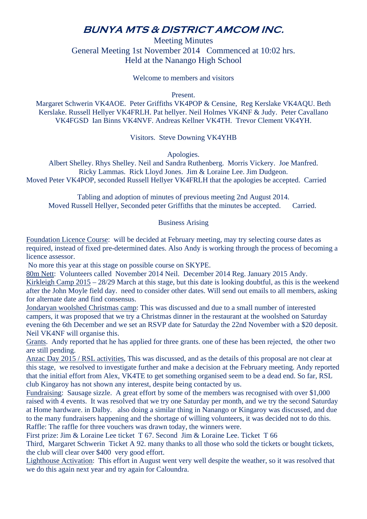## **BUNYA MTS & DISTRICT AMCOM INC.**

Meeting Minutes General Meeting 1st November 2014 Commenced at 10:02 hrs. Held at the Nanango High School

Welcome to members and visitors

Present.

Margaret Schwerin VK4AOE. Peter Griffiths VK4POP & Censine, Reg Kerslake VK4AQU. Beth Kerslake. Russell Hellyer VK4FRLH. Pat hellyer. Neil Holmes VK4NF & Judy. Peter Cavallano VK4FGSD Ian Binns VK4NVF. Andreas Kellner VK4TH. Trevor Clement VK4YH.

Visitors. Steve Downing VK4YHB

Apologies.

Albert Shelley. Rhys Shelley. Neil and Sandra Ruthenberg. Morris Vickery. Joe Manfred. Ricky Lammas. Rick Lloyd Jones. Jim & Loraine Lee. Jim Dudgeon. Moved Peter VK4POP, seconded Russell Hellyer VK4FRLH that the apologies be accepted. Carried

Tabling and adoption of minutes of previous meeting 2nd August 2014. Moved Russell Hellyer, Seconded peter Griffiths that the minutes be accepted. Carried.

## Business Arising

Foundation Licence Course: will be decided at February meeting, may try selecting course dates as required, instead of fixed pre-determined dates. Also Andy is working through the process of becoming a licence assessor.

No more this year at this stage on possible course on SKYPE.

80m Nett: Volunteers called November 2014 Neil. December 2014 Reg. January 2015 Andy. Kirkleigh Camp 2015 – 28/29 March at this stage, but this date is looking doubtful, as this is the weekend after the John Moyle field day. need to consider other dates. Will send out emails to all members, asking for alternate date and find consensus.

Jondaryan woolshed Christmas camp: This was discussed and due to a small number of interested campers, it was proposed that we try a Christmas dinner in the restaurant at the woolshed on Saturday evening the 6th December and we set an RSVP date for Saturday the 22nd November with a \$20 deposit. Neil VK4NF will organise this.

Grants. Andy reported that he has applied for three grants. one of these has been rejected, the other two are still pending.

Anzac Day 2015 / RSL activities, This was discussed, and as the details of this proposal are not clear at this stage, we resolved to investigate further and make a decision at the February meeting. Andy reported that the initial effort from Alex, VK4TE to get something organised seem to be a dead end. So far, RSL club Kingaroy has not shown any interest, despite being contacted by us.

Fundraising: Sausage sizzle. A great effort by some of the members was recognised with over \$1,000 raised with 4 events. It was resolved that we try one Saturday per month, and we try the second Saturday at Home hardware. in Dalby. also doing a similar thing in Nanango or Kingaroy was discussed, and due to the many fundraisers happening and the shortage of willing volunteers, it was decided not to do this. Raffle: The raffle for three vouchers was drawn today, the winners were.

First prize: Jim & Loraine Lee ticket T 67. Second Jim & Loraine Lee. Ticket T 66

Third, Margaret Schwerin Ticket A 92. many thanks to all those who sold the tickets or bought tickets, the club will clear over \$400 very good effort.

Lighthouse Activation: This effort in August went very well despite the weather, so it was resolved that we do this again next year and try again for Caloundra.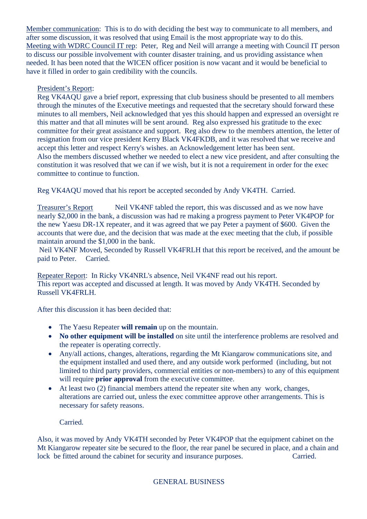Member communication: This is to do with deciding the best way to communicate to all members, and after some discussion, it was resolved that using Email is the most appropriate way to do this. Meeting with WDRC Council IT rep: Peter, Reg and Neil will arrange a meeting with Council IT person to discuss our possible involvement with counter disaster training, and us providing assistance when needed. It has been noted that the WICEN officer position is now vacant and it would be beneficial to have it filled in order to gain credibility with the councils.

## President's Report:

Reg VK4AQU gave a brief report, expressing that club business should be presented to all members through the minutes of the Executive meetings and requested that the secretary should forward these minutes to all members, Neil acknowledged that yes this should happen and expressed an oversight re this matter and that all minutes will be sent around. Reg also expressed his gratitude to the exec committee for their great assistance and support. Reg also drew to the members attention, the letter of resignation from our vice president Kerry Black VK4FKDB, and it was resolved that we receive and accept this letter and respect Kerry's wishes. an Acknowledgement letter has been sent. Also the members discussed whether we needed to elect a new vice president, and after consulting the constitution it was resolved that we can if we wish, but it is not a requirement in order for the exec committee to continue to function.

Reg VK4AQU moved that his report be accepted seconded by Andy VK4TH. Carried.

Treasurer's Report Neil VK4NF tabled the report, this was discussed and as we now have nearly \$2,000 in the bank, a discussion was had re making a progress payment to Peter VK4POP for the new Yaesu DR-1X repeater, and it was agreed that we pay Peter a payment of \$600. Given the accounts that were due, and the decision that was made at the exec meeting that the club, if possible maintain around the \$1,000 in the bank.

 Neil VK4NF Moved, Seconded by Russell VK4FRLH that this report be received, and the amount be paid to Peter. Carried.

Repeater Report: In Ricky VK4NRL's absence, Neil VK4NF read out his report. This report was accepted and discussed at length. It was moved by Andy VK4TH. Seconded by Russell VK4FRLH.

After this discussion it has been decided that:

- The Yaesu Repeater **will remain** up on the mountain.
- **No other equipment will be installed** on site until the interference problems are resolved and the repeater is operating correctly.
- Any/all actions, changes, alterations, regarding the Mt Kiangarow communications site, and the equipment installed and used there, and any outside work performed (including, but not limited to third party providers, commercial entities or non-members) to any of this equipment will require **prior approval** from the executive committee.
- At least two (2) financial members attend the repeater site when any work, changes, alterations are carried out, unless the exec committee approve other arrangements. This is necessary for safety reasons.

Carried.

Also, it was moved by Andy VK4TH seconded by Peter VK4POP that the equipment cabinet on the Mt Kiangarow repeater site be secured to the floor, the rear panel be secured in place, and a chain and lock be fitted around the cabinet for security and insurance purposes. Carried.

## GENERAL BUSINESS